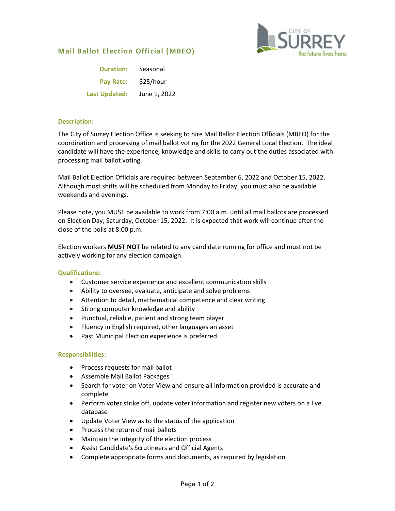# **Mail Ballot Election Official (MBEO)**



| <b>Duration:</b>     | Seasonal     |
|----------------------|--------------|
| <b>Pay Rate:</b>     | \$25/hour    |
| <b>Last Updated:</b> | June 1, 2022 |

## **Description:**

The City of Surrey Election Office is seeking to hire Mail Ballot Election Officials (MBEO) for the coordination and processing of mail ballot voting for the 2022 General Local Election. The ideal candidate will have the experience, knowledge and skills to carry out the duties associated with processing mail ballot voting.

Mail Ballot Election Officials are required between September 6, 2022 and October 15, 2022. Although most shifts will be scheduled from Monday to Friday, you must also be available weekends and evenings.

Please note, you MUST be available to work from 7:00 a.m. until all mail ballots are processed on Election Day, Saturday, October 15, 2022. It is expected that work will continue after the close of the polls at 8:00 p.m.

Election workers **MUST NOT** be related to any candidate running for office and must not be actively working for any election campaign.

#### **Qualifications:**

- Customer service experience and excellent communication skills
- Ability to oversee, evaluate, anticipate and solve problems
- Attention to detail, mathematical competence and clear writing
- Strong computer knowledge and ability
- Punctual, reliable, patient and strong team player
- Fluency in English required, other languages an asset
- Past Municipal Election experience is preferred

#### **Responsibilities:**

- Process requests for mail ballot
- Assemble Mail Ballot Packages
- Search for voter on Voter View and ensure all information provided is accurate and complete
- Perform voter strike off, update voter information and register new voters on a live database
- Update Voter View as to the status of the application
- Process the return of mail ballots
- Maintain the integrity of the election process
- Assist Candidate's Scrutineers and Official Agents
- Complete appropriate forms and documents, as required by legislation